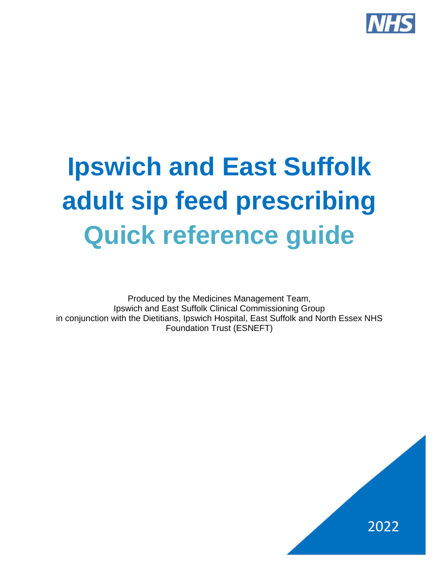

# **Ipswich and East Suffolk adult sip feed prescribing Quick reference guide**

Produced by the Medicines Management Team, Ipswich and East Suffolk Clinical Commissioning Group in conjunction with the Dietitians, Ipswich Hospital, East Suffolk and North Essex NHS Foundation Trust (ESNEFT)

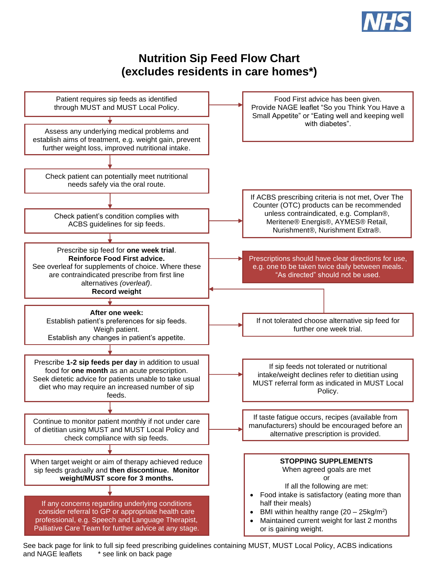

### **Nutrition Sip Feed Flow Chart (excludes residents in care homes\*)**



See back page for link to full sip feed prescribing guidelines containing MUST, MUST Local Policy, ACBS indications and NAGE leaflets \* see link on back page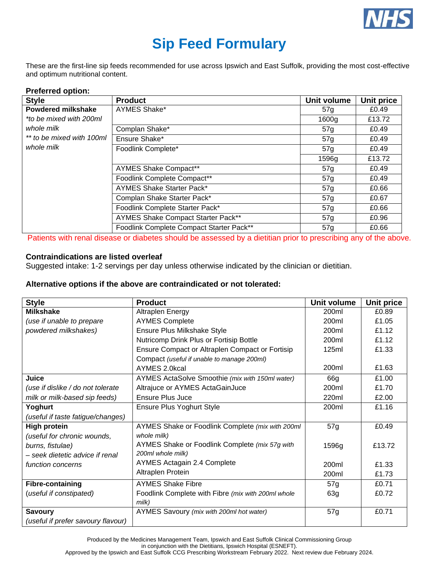

## **Sip Feed Formulary**

These are the first-line sip feeds recommended for use across Ipswich and East Suffolk, providing the most cost-effective and optimum nutritional content.

| <b>Style</b>              | <b>Product</b>                           | Unit volume     | Unit price |
|---------------------------|------------------------------------------|-----------------|------------|
| <b>Powdered milkshake</b> | AYMES Shake*                             | 57g             | £0.49      |
| *to be mixed with 200ml   |                                          | 1600g           | £13.72     |
| whole milk                | Complan Shake*                           | 57g             | £0.49      |
| ** to be mixed with 100ml | Ensure Shake*                            | 57g             | £0.49      |
| whole milk                | Foodlink Complete*                       | 57 <sub>q</sub> | £0.49      |
|                           |                                          | 1596g           | £13.72     |
|                           | <b>AYMES Shake Compact**</b>             | 57g             | £0.49      |
|                           | Foodlink Complete Compact**              | 57g             | £0.49      |
|                           | AYMES Shake Starter Pack*                | 57g             | £0.66      |
|                           | Complan Shake Starter Pack*              | 57g             | £0.67      |
|                           | Foodlink Complete Starter Pack*          | 57g             | £0.66      |
|                           | AYMES Shake Compact Starter Pack**       | 57g             | £0.96      |
|                           | Foodlink Complete Compact Starter Pack** | 57g             | £0.66      |

Patients with renal disease or diabetes should be assessed by a dietitian prior to prescribing any of the above.

#### **Contraindications are listed overleaf**

Suggested intake: 1-2 servings per day unless otherwise indicated by the clinician or dietitian.

#### **Alternative options if the above are contraindicated or not tolerated:**

| <b>Style</b>                       | <b>Product</b>                                     | Unit volume | Unit price |
|------------------------------------|----------------------------------------------------|-------------|------------|
| <b>Milkshake</b>                   | <b>Altraplen Energy</b>                            | 200ml       | £0.89      |
| (use if unable to prepare          | <b>AYMES Complete</b>                              | 200ml       | £1.05      |
| powdered milkshakes)               | Ensure Plus Milkshake Style                        | 200ml       | £1.12      |
|                                    | Nutricomp Drink Plus or Fortisip Bottle            | 200ml       | £1.12      |
|                                    | Ensure Compact or Altraplen Compact or Fortisip    | 125ml       | £1.33      |
|                                    | Compact (useful if unable to manage 200ml)         |             |            |
|                                    | AYMES 2.0kcal                                      | 200ml       | £1.63      |
| Juice                              | AYMES ActaSolve Smoothie (mix with 150ml water)    | 66g         | £1.00      |
| (use if dislike / do not tolerate  | Altrajuce or AYMES ActaGainJuce                    | 200ml       | £1.70      |
| milk or milk-based sip feeds)      | Ensure Plus Juce                                   | 220ml       | £2.00      |
| Yoghurt                            | <b>Ensure Plus Yoghurt Style</b>                   | 200ml       | £1.16      |
| (useful if taste fatigue/changes)  |                                                    |             |            |
| <b>High protein</b>                | AYMES Shake or Foodlink Complete (mix with 200ml   | 57g         | £0.49      |
| (useful for chronic wounds,        | whole milk)                                        |             |            |
| burns, fistulae)                   | AYMES Shake or Foodlink Complete (mix 57g with     | 1596g       | £13.72     |
| - seek dietetic advice if renal    | 200ml whole milk)                                  |             |            |
| function concerns                  | <b>AYMES Actagain 2.4 Complete</b>                 | 200ml       | £1.33      |
|                                    | Altraplen Protein                                  | 200ml       | £1.73      |
| <b>Fibre-containing</b>            | <b>AYMES Shake Fibre</b>                           | 57g         | £0.71      |
| (useful if constipated)            | Foodlink Complete with Fibre (mix with 200ml whole | 63g         | £0.72      |
|                                    | milk)                                              |             |            |
| <b>Savoury</b>                     | AYMES Savoury (mix with 200ml hot water)           | 57g         | £0.71      |
| (useful if prefer savoury flavour) |                                                    |             |            |

Produced by the Medicines Management Team, Ipswich and East Suffolk Clinical Commissioning Group

in conjunction with the Dietitians, Ipswich Hospital (ESNEFT).

Approved by the Ipswich and East Suffolk CCG Prescribing Workstream February 2022. Next review due February 2024.